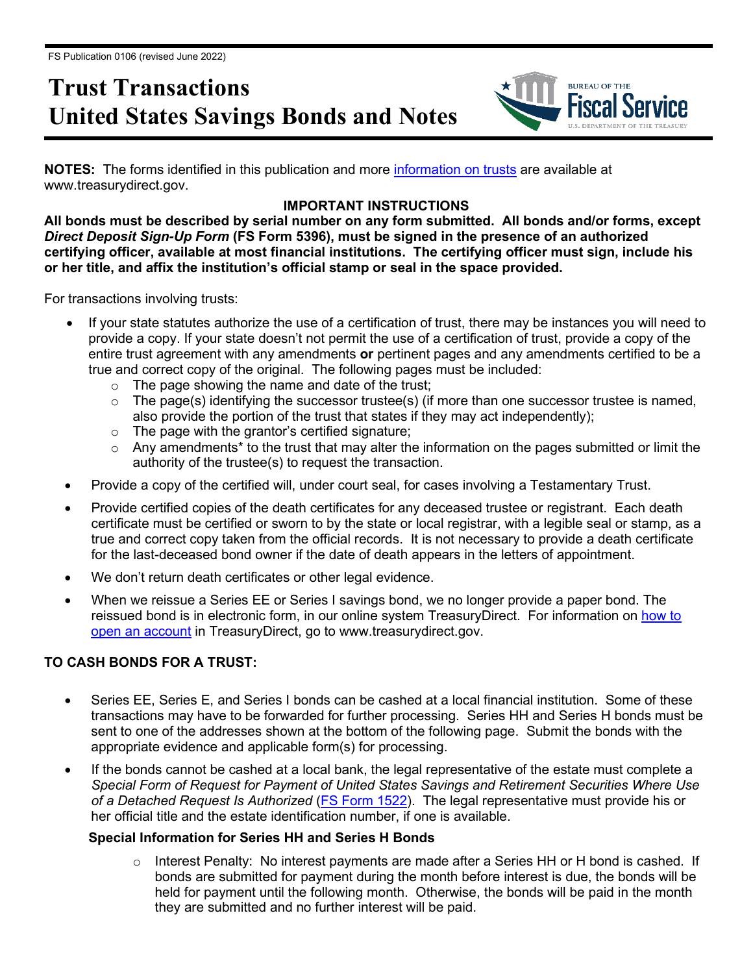# **Trust Transactions United States Savings Bonds and Notes**



**NOTES:** The forms identified in this publication and more [information on trusts](https://www.treasurydirect.gov/indiv/tools/tools_trusts.htm) are available at www.treasurydirect.gov.

## **IMPORTANT INSTRUCTIONS**

**All bonds must be described by serial number on any form submitted. All bonds and/or forms, except**  *Direct Deposit Sign-Up Form* **(FS Form 5396), must be signed in the presence of an authorized certifying officer, available at most financial institutions. The certifying officer must sign, include his or her title, and affix the institution's official stamp or seal in the space provided.**

For transactions involving trusts:

- If your state statutes authorize the use of a certification of trust, there may be instances you will need to provide a copy. If your state doesn't not permit the use of a certification of trust, provide a copy of the entire trust agreement with any amendments **or** pertinent pages and any amendments certified to be a true and correct copy of the original. The following pages must be included:
	- $\circ$  The page showing the name and date of the trust;
	- $\circ$  The page(s) identifying the successor trustee(s) (if more than one successor trustee is named, also provide the portion of the trust that states if they may act independently);
	- o The page with the grantor's certified signature;
	- $\circ$  Any amendments<sup>\*</sup> to the trust that may alter the information on the pages submitted or limit the authority of the trustee(s) to request the transaction.
- Provide a copy of the certified will, under court seal, for cases involving a Testamentary Trust.
- Provide certified copies of the death certificates for any deceased trustee or registrant. Each death certificate must be certified or sworn to by the state or local registrar, with a legible seal or stamp, as a true and correct copy taken from the official records. It is not necessary to provide a death certificate for the last-deceased bond owner if the date of death appears in the letters of appointment.
- We don't return death certificates or other legal evidence.
- When we reissue a Series EE or Series I savings bond, we no longer provide a paper bond. The reissued bond is in electronic form, in our online system TreasuryDirect. For information on how to [open an account](http://www.treasurydirect.gov/indiv/myaccount/myaccount_treasurydirect.htm) in TreasuryDirect, go to www.treasurydirect.gov.

## **TO CASH BONDS FOR A TRUST:**

- Series EE, Series E, and Series I bonds can be cashed at a local financial institution. Some of these transactions may have to be forwarded for further processing. Series HH and Series H bonds must be sent to one of the addresses shown at the bottom of the following page. Submit the bonds with the appropriate evidence and applicable form(s) for processing.
- If the bonds cannot be cashed at a local bank, the legal representative of the estate must complete a *Special Form of Request for Payment of United States Savings and Retirement Securities Where Use of a Detached Request Is Authorized* [\(FS Form 1522\)](http://www.treasurydirect.gov/forms/sav1522.pdf). The legal representative must provide his or her official title and the estate identification number, if one is available.

## **Special Information for Series HH and Series H Bonds**

 $\circ$  Interest Penalty: No interest payments are made after a Series HH or H bond is cashed. If bonds are submitted for payment during the month before interest is due, the bonds will be held for payment until the following month. Otherwise, the bonds will be paid in the month they are submitted and no further interest will be paid.